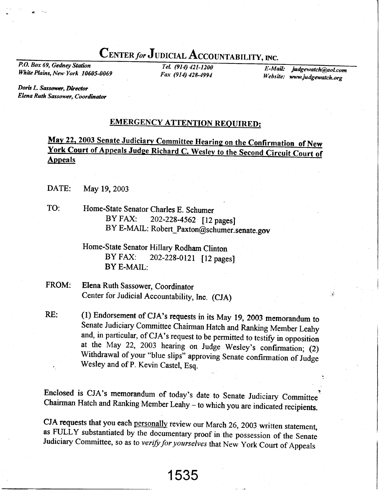## CENTER for JUDICIAL ACCOUNTABILITY, INC.

P.O. Box 69, Gedney Station White Plains, New York 10605-0069

TeL (914) 421-1200 Fox (914) 428-4991

E-Mail: Website: www.judgewatch.org judgewatch@aol.com

Doris L. Sassower, Director Elena Ruth Sassower, Coordinator

## **EMERGENCY ATTENTION REQUIRED:**

## May 22, 2003 Senate Judiciary Committee Hearing on the Confirmation of New **York Court of Appeals Judge Richard C. Wesley to the Second Circuit Court of Appeals**

- DATE: May 19,2003
- TO: Home-State Senator Charles E. Schumer BY FAX: 202-228-4562 [12 pages] BY E-MAIL: Robert\_Paxton@schumer.senate.gov

## Home-State Senator Hillary Rodham Clinton<br>BY FAX: 202-228-0121 [12 page 202-228-0121 [12 pages] BY E.MAIL:

- FROM: Elena Ruth Sassower, Coordinator Center for Judicial Accountability, Inc. (CJA)
- (1) Endorsement of CJA's requests in its May 19, 2003 memorandum to senate Judiciary commiffee chairman Hatch and Ranking Member Leahy and, in particular, of CJA's request to be permitted to testify in opposition at the May 22, 2003 hearing on Judge Wesley's confirmation; (2) Withdrawal of your "blue slips" approving Senate confirmation of Judge Wesley and of P. Kevin Castel, Esq. RE:

Enclosed is CJA's memorandum of today's date to Senate Judiciary Committee Chairman Hatch and Ranking Member Leahy - to which you are indicated recipients.

CJA requests that you each personally review our March 26, 2003 written statement, as FULLY substantiated by the documentary proof in the possession of the Senate Judiciary Committee, so as to verify for yourselves that New York Court of Appeals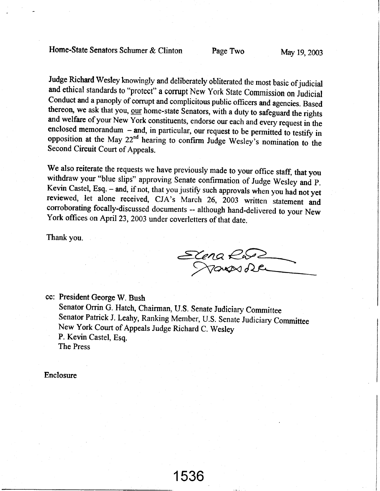Judge Richard Wesley knowingly and deliberately obliterated the most basic of judicial<br>and ethical standards to "protect" a corrupt New York State Commission on Judicial<br>Conduct and a panoply of corrupt and complicitous p

We also reiterate the requests we have previously made to your office staff, that you withdraw your "blue slips" approving Senate confirmation of Judge Wesley and P.<br>Kevin Castel, Esq. – and, if not, that you justify such approvals when you had not yet reviewed, let alone received, CJA's March 26, 2003 written statement and corroborating focally-discussed documents -- although hand-delivered to your New York offices on April 23, 2003 under coverletters of that date.

Thank you.

 $\mathcal{Z}$ lel fiewl}i

cc: President George W. Bush Senator Orrin G. Hatch, Chairman, U.S. Senate Judiciary Committee Senator Patrick J. Leahy, Ranking Member, U.S. Senate Judiciary Committee New York Court of Appeals Judge Richard C. Wesley P. Kevin Castel, Esq. The Press

Enclosure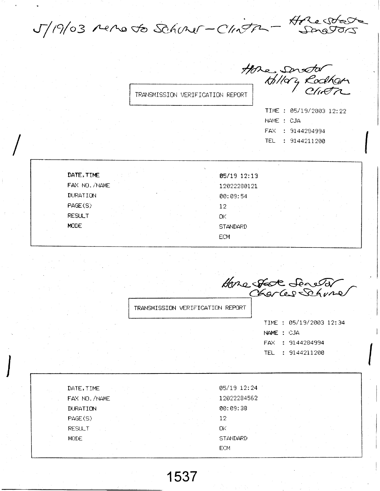J/19/03 renoto Schurer-Clinton-Hore state

TRANSMISSION VERIFICATION REPORT

Hore Senator<br>- thilory Rodham

|            | TIME : 05/19/2003 12:22 |  |
|------------|-------------------------|--|
| NAME : CJA |                         |  |
|            | FAX : 9144284994        |  |
|            | TEL : 9144211200        |  |

DATE, TIME 05/19 12:13 FAX NO. /NAME 12022280121 **DURATION** 00:09:54 PAGE(S)  $12$ **RESULT** ОK MODE **STANDARD** ECM

Hone state Seretor

TRANSMISSION VERIFICATION REPORT

TIME : 05/19/2003 12:34 NAME : CJA FAX : 9144284994 TEL : 9144211200

| DATE, TIME      | 05/19 12:24     |  |  |
|-----------------|-----------------|--|--|
| FAX NO. /NAME   | 12022284562     |  |  |
| <b>DURATION</b> | 00:09:38        |  |  |
| PAGE(S)         | 12              |  |  |
| <b>RESULT</b>   | ŪΚ              |  |  |
| <b>MODE</b>     | <b>STANDARD</b> |  |  |
|                 | ECM             |  |  |

1537